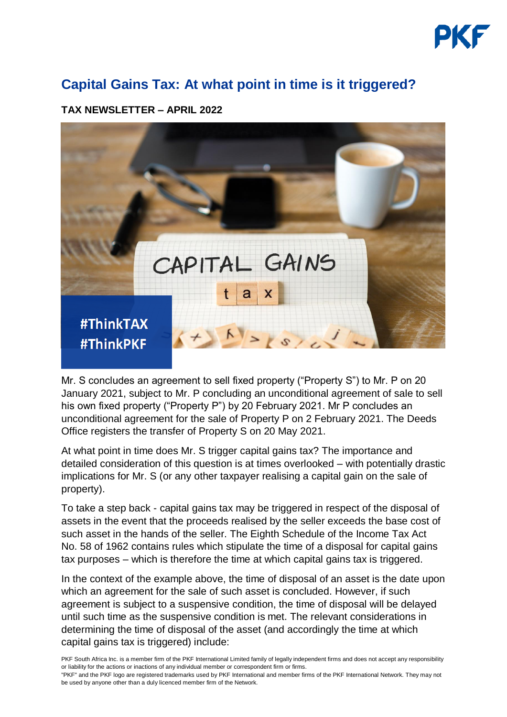

## **Capital Gains Tax: At what point in time is it triggered?**

## **TAX NEWSLETTER – APRIL 2022**



Mr. S concludes an agreement to sell fixed property ("Property S") to Mr. P on 20 January 2021, subject to Mr. P concluding an unconditional agreement of sale to sell his own fixed property ("Property P") by 20 February 2021. Mr P concludes an unconditional agreement for the sale of Property P on 2 February 2021. The Deeds Office registers the transfer of Property S on 20 May 2021.

At what point in time does Mr. S trigger capital gains tax? The importance and detailed consideration of this question is at times overlooked – with potentially drastic implications for Mr. S (or any other taxpayer realising a capital gain on the sale of property).

To take a step back - capital gains tax may be triggered in respect of the disposal of assets in the event that the proceeds realised by the seller exceeds the base cost of such asset in the hands of the seller. The Eighth Schedule of the Income Tax Act No. 58 of 1962 contains rules which stipulate the time of a disposal for capital gains tax purposes – which is therefore the time at which capital gains tax is triggered.

In the context of the example above, the time of disposal of an asset is the date upon which an agreement for the sale of such asset is concluded. However, if such agreement is subject to a suspensive condition, the time of disposal will be delayed until such time as the suspensive condition is met. The relevant considerations in determining the time of disposal of the asset (and accordingly the time at which capital gains tax is triggered) include:

PKF South Africa Inc. is a member firm of the [PKF International Limited](https://www.pkf.com/) family of legally independent firms and does not accept any responsibility or liability for the actions or inactions of any individual member or correspondent firm or firms.

"PKF" and the PKF logo are registered trademarks used by PKF International and member firms of the PKF International Network. They may not be used by anyone other than a duly licenced member firm of the Network.